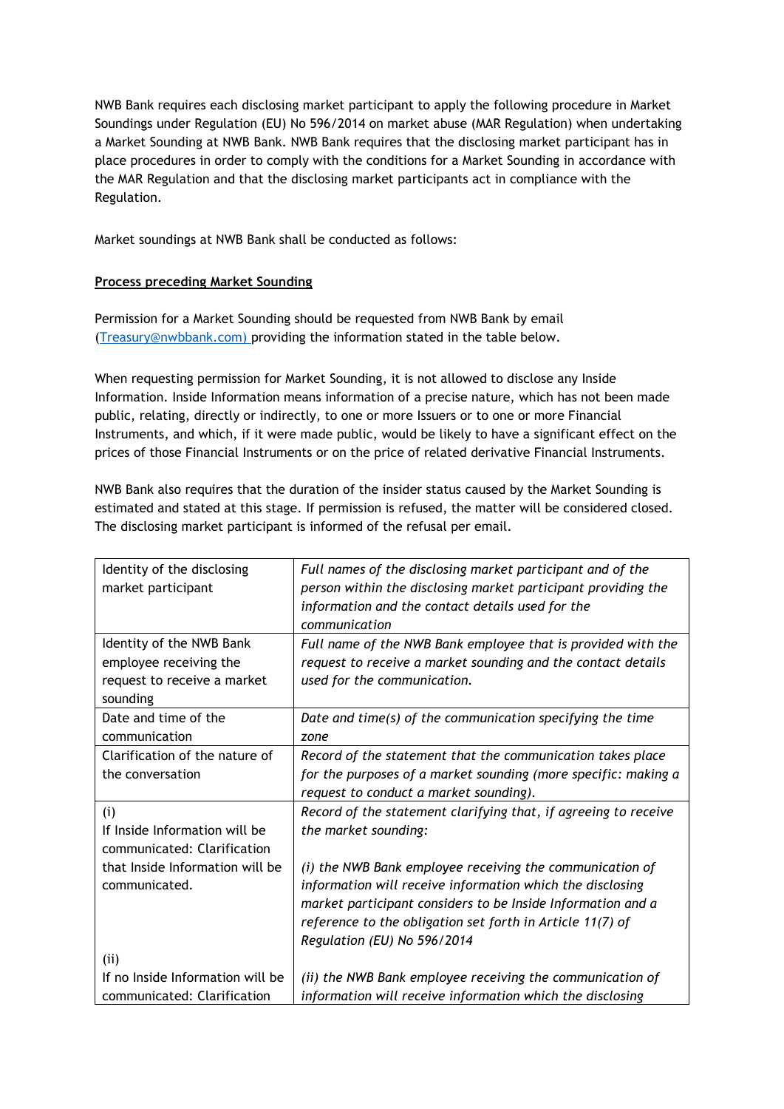NWB Bank requires each disclosing market participant to apply the following procedure in Market Soundings under Regulation (EU) No 596/2014 on market abuse (MAR Regulation) when undertaking a Market Sounding at NWB Bank. NWB Bank requires that the disclosing market participant has in place procedures in order to comply with the conditions for a Market Sounding in accordance with the MAR Regulation and that the disclosing market participants act in compliance with the Regulation.

Market soundings at NWB Bank shall be conducted as follows:

## **Process preceding Market Sounding**

Permission for a Market Sounding should be requested from NWB Bank by email [\(Treasury@nwbbank.com\)](mailto:Treasury@nwbbank.com) providing the information stated in the table below.

When requesting permission for Market Sounding, it is not allowed to disclose any Inside Information. Inside Information means information of a precise nature, which has not been made public, relating, directly or indirectly, to one or more Issuers or to one or more Financial Instruments, and which, if it were made public, would be likely to have a significant effect on the prices of those Financial Instruments or on the price of related derivative Financial Instruments.

NWB Bank also requires that the duration of the insider status caused by the Market Sounding is estimated and stated at this stage. If permission is refused, the matter will be considered closed. The disclosing market participant is informed of the refusal per email.

| Identity of the disclosing       | Full names of the disclosing market participant and of the      |
|----------------------------------|-----------------------------------------------------------------|
| market participant               | person within the disclosing market participant providing the   |
|                                  | information and the contact details used for the                |
|                                  | communication                                                   |
| Identity of the NWB Bank         | Full name of the NWB Bank employee that is provided with the    |
| employee receiving the           | request to receive a market sounding and the contact details    |
| request to receive a market      | used for the communication.                                     |
| sounding                         |                                                                 |
| Date and time of the             | Date and time(s) of the communication specifying the time       |
| communication                    | zone                                                            |
| Clarification of the nature of   | Record of the statement that the communication takes place      |
| the conversation                 | for the purposes of a market sounding (more specific: making a  |
|                                  | request to conduct a market sounding).                          |
| (i)                              | Record of the statement clarifying that, if agreeing to receive |
| If Inside Information will be    | the market sounding:                                            |
| communicated: Clarification      |                                                                 |
| that Inside Information will be  | (i) the NWB Bank employee receiving the communication of        |
| communicated.                    | information will receive information which the disclosing       |
|                                  | market participant considers to be Inside Information and a     |
|                                  | reference to the obligation set forth in Article 11(7) of       |
|                                  | Regulation (EU) No 596/2014                                     |
| (i)                              |                                                                 |
| If no Inside Information will be | (ii) the NWB Bank employee receiving the communication of       |
| communicated: Clarification      | information will receive information which the disclosing       |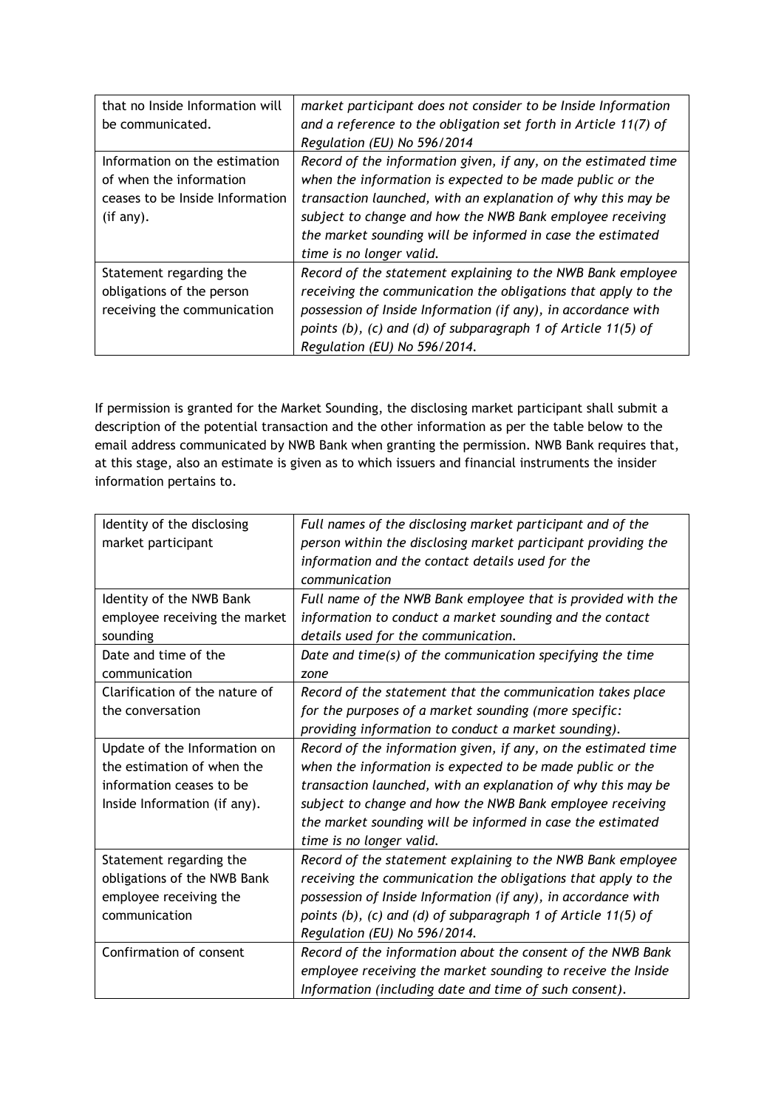| that no Inside Information will | market participant does not consider to be Inside Information   |
|---------------------------------|-----------------------------------------------------------------|
| be communicated.                | and a reference to the obligation set forth in Article 11(7) of |
|                                 | Regulation (EU) No 596/2014                                     |
| Information on the estimation   | Record of the information given, if any, on the estimated time  |
| of when the information         | when the information is expected to be made public or the       |
| ceases to be Inside Information | transaction launched, with an explanation of why this may be    |
| (if any).                       | subject to change and how the NWB Bank employee receiving       |
|                                 | the market sounding will be informed in case the estimated      |
|                                 | time is no longer valid.                                        |
| Statement regarding the         | Record of the statement explaining to the NWB Bank employee     |
| obligations of the person       | receiving the communication the obligations that apply to the   |
| receiving the communication     | possession of Inside Information (if any), in accordance with   |
|                                 | points (b), (c) and (d) of subparagraph 1 of Article 11(5) of   |
|                                 | Regulation (EU) No 596/2014.                                    |

If permission is granted for the Market Sounding, the disclosing market participant shall submit a description of the potential transaction and the other information as per the table below to the email address communicated by NWB Bank when granting the permission. NWB Bank requires that, at this stage, also an estimate is given as to which issuers and financial instruments the insider information pertains to.

| Identity of the disclosing<br>market participant | Full names of the disclosing market participant and of the<br>person within the disclosing market participant providing the<br>information and the contact details used for the<br>communication |
|--------------------------------------------------|--------------------------------------------------------------------------------------------------------------------------------------------------------------------------------------------------|
| Identity of the NWB Bank                         | Full name of the NWB Bank employee that is provided with the                                                                                                                                     |
| employee receiving the market                    | information to conduct a market sounding and the contact                                                                                                                                         |
| sounding                                         | details used for the communication.                                                                                                                                                              |
| Date and time of the<br>communication            | Date and time(s) of the communication specifying the time<br>zone                                                                                                                                |
| Clarification of the nature of                   | Record of the statement that the communication takes place                                                                                                                                       |
| the conversation                                 | for the purposes of a market sounding (more specific:                                                                                                                                            |
|                                                  | providing information to conduct a market sounding).                                                                                                                                             |
| Update of the Information on                     | Record of the information given, if any, on the estimated time                                                                                                                                   |
| the estimation of when the                       | when the information is expected to be made public or the                                                                                                                                        |
| information ceases to be                         | transaction launched, with an explanation of why this may be                                                                                                                                     |
| Inside Information (if any).                     | subject to change and how the NWB Bank employee receiving                                                                                                                                        |
|                                                  | the market sounding will be informed in case the estimated                                                                                                                                       |
|                                                  | time is no longer valid.                                                                                                                                                                         |
| Statement regarding the                          | Record of the statement explaining to the NWB Bank employee                                                                                                                                      |
| obligations of the NWB Bank                      | receiving the communication the obligations that apply to the                                                                                                                                    |
| employee receiving the                           | possession of Inside Information (if any), in accordance with                                                                                                                                    |
| communication                                    | points (b), (c) and (d) of subparagraph 1 of Article 11(5) of                                                                                                                                    |
|                                                  | Regulation (EU) No 596/2014.                                                                                                                                                                     |
| Confirmation of consent                          | Record of the information about the consent of the NWB Bank                                                                                                                                      |
|                                                  | employee receiving the market sounding to receive the Inside                                                                                                                                     |
|                                                  | Information (including date and time of such consent).                                                                                                                                           |